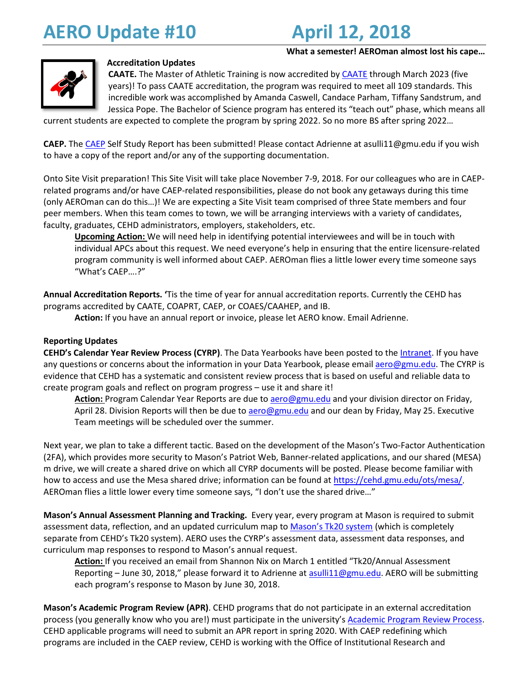# **AERO Update #10 April 12, 2018**

### **What a semester! AEROman almost lost his cape…**



### **Accreditation Updates**

**CAATE.** The Master of Athletic Training is now accredited by [CAATE](https://caate.net/) through March 2023 (five years)! To pass CAATE accreditation, the program was required to meet all 109 standards. This incredible work was accomplished by Amanda Caswell, Candace Parham, Tiffany Sandstrum, and Jessica Pope. The Bachelor of Science program has entered its "teach out" phase, which means all

current students are expected to complete the program by spring 2022. So no more BS after spring 2022…

**CAEP.** Th[e CAEP](http://caepnet.org/) Self Study Report has been submitted! Please contact Adrienne at asulli11@gmu.edu if you wish to have a copy of the report and/or any of the supporting documentation.

Onto Site Visit preparation! This Site Visit will take place November 7-9, 2018. For our colleagues who are in CAEPrelated programs and/or have CAEP-related responsibilities, please do not book any getaways during this time (only AEROman can do this…)! We are expecting a Site Visit team comprised of three State members and four peer members. When this team comes to town, we will be arranging interviews with a variety of candidates, faculty, graduates, CEHD administrators, employers, stakeholders, etc.

**Upcoming Action:** We will need help in identifying potential interviewees and will be in touch with individual APCs about this request. We need everyone's help in ensuring that the entire licensure-related program community is well informed about CAEP. AEROman flies a little lower every time someone says "What's CAEP….?"

**Annual Accreditation Reports. '**Tis the time of year for annual accreditation reports. Currently the CEHD has programs accredited by CAATE, COAPRT, CAEP, or COAES/CAAHEP, and IB.

**Action:** If you have an annual report or invoice, please let AERO know. Email Adrienne.

### **Reporting Updates**

**CEHD's Calendar Year Review Process (CYRP)**. The Data Yearbooks have been posted to the [Intranet.](http://intranet.cehd.gmu.edu/) If you have any questions or concerns about the information in your Data Yearbook, please emai[l aero@gmu.edu.](mailto:aero@gmu.edu) The CYRP is evidence that CEHD has a systematic and consistent review process that is based on useful and reliable data to create program goals and reflect on program progress – use it and share it!

**Action:** Program Calendar Year Reports are due to [aero@gmu.edu](mailto:aero@gmu.edu) and your division director on Friday, April 28. Division Reports will then be due t[o aero@gmu.edu](mailto:aero@gmu.edu) and our dean by Friday, May 25. Executive Team meetings will be scheduled over the summer.

Next year, we plan to take a different tactic. Based on the development of the Mason's Two-Factor Authentication (2FA), which provides more security to Mason's Patriot Web, Banner-related applications, and our shared (MESA) m drive, we will create a shared drive on which all CYRP documents will be posted. Please become familiar with how to access and use the Mesa shared drive; information can be found at [https://cehd.gmu.edu/ots/mesa/.](https://cehd.gmu.edu/ots/mesa/) AEROman flies a little lower every time someone says, "I don't use the shared drive…"

**Mason's Annual Assessment Planning and Tracking.** Every year, every program at Mason is required to submit assessment data, reflection, and an updated curriculum map to [Mason's Tk20 system](https://ira.gmu.edu/annual-assessment/) (which is completely separate from CEHD's Tk20 system). AERO uses the CYRP's assessment data, assessment data responses, and curriculum map responses to respond to Mason's annual request.

**Action:** If you received an email from Shannon Nix on March 1 entitled "Tk20/Annual Assessment Reporting – June 30, 2018," please forward it to Adrienne a[t asulli11@gmu.edu.](mailto:asulli11@gmu.edu) AERO will be submitting each program's response to Mason by June 30, 2018.

**Mason's Academic Program Review (APR)**. CEHD programs that do not participate in an external accreditation process (you generally know who you are!) must participate in the university'[s Academic Program Review Process.](https://ira.gmu.edu/academic-program-review/) CEHD applicable programs will need to submit an APR report in spring 2020. With CAEP redefining which programs are included in the CAEP review, CEHD is working with the Office of Institutional Research and